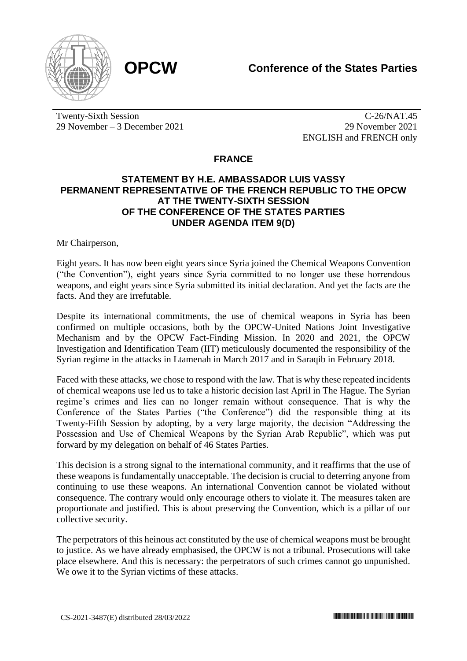

Twenty-Sixth Session 29 November – 3 December 2021

C-26/NAT.45 29 November 2021 ENGLISH and FRENCH only

## **FRANCE**

## **STATEMENT BY H.E. AMBASSADOR LUIS VASSY PERMANENT REPRESENTATIVE OF THE FRENCH REPUBLIC TO THE OPCW AT THE TWENTY-SIXTH SESSION OF THE CONFERENCE OF THE STATES PARTIES UNDER AGENDA ITEM 9(D)**

Mr Chairperson,

Eight years. It has now been eight years since Syria joined the Chemical Weapons Convention ("the Convention"), eight years since Syria committed to no longer use these horrendous weapons, and eight years since Syria submitted its initial declaration. And yet the facts are the facts. And they are irrefutable.

Despite its international commitments, the use of chemical weapons in Syria has been confirmed on multiple occasions, both by the OPCW-United Nations Joint Investigative Mechanism and by the OPCW Fact-Finding Mission. In 2020 and 2021, the OPCW Investigation and Identification Team (IIT) meticulously documented the responsibility of the Syrian regime in the attacks in Ltamenah in March 2017 and in Saraqib in February 2018.

Faced with these attacks, we chose to respond with the law. That is why these repeated incidents of chemical weapons use led us to take a historic decision last April in The Hague. The Syrian regime's crimes and lies can no longer remain without consequence. That is why the Conference of the States Parties ("the Conference") did the responsible thing at its Twenty-Fifth Session by adopting, by a very large majority, the decision "Addressing the Possession and Use of Chemical Weapons by the Syrian Arab Republic", which was put forward by my delegation on behalf of 46 States Parties.

This decision is a strong signal to the international community, and it reaffirms that the use of these weapons is fundamentally unacceptable. The decision is crucial to deterring anyone from continuing to use these weapons. An international Convention cannot be violated without consequence. The contrary would only encourage others to violate it. The measures taken are proportionate and justified. This is about preserving the Convention, which is a pillar of our collective security.

The perpetrators of this heinous act constituted by the use of chemical weapons must be brought to justice. As we have already emphasised, the OPCW is not a tribunal. Prosecutions will take place elsewhere. And this is necessary: the perpetrators of such crimes cannot go unpunished. We owe it to the Syrian victims of these attacks.